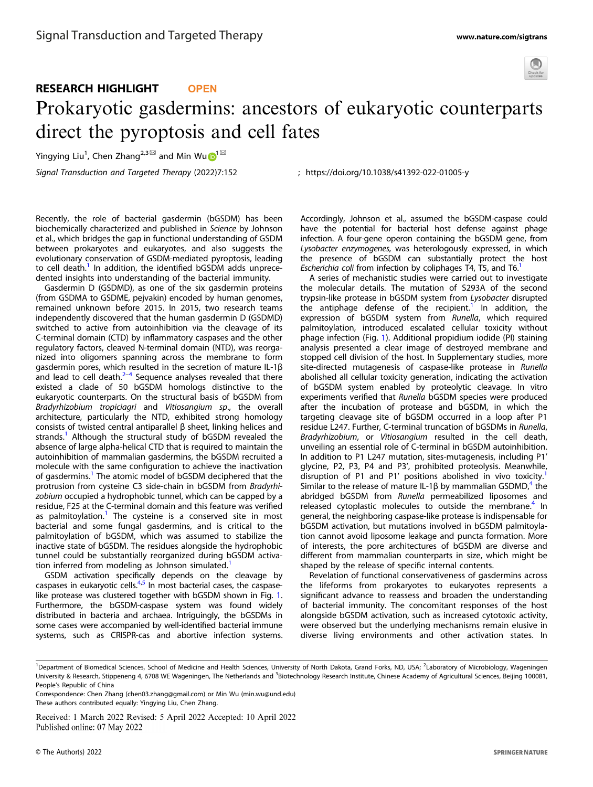

## RESEARCH HIGHLIGHT **OPEN**

# Prokaryotic gasdermins: ancestors of eukaryotic counterparts direct the pyroptosis and cell fates

Yingying Liu<sup>[1](http://orcid.org/0000-0003-1205-982X)</sup>, Chen Zhang<sup>2,3⊠</sup> and Min Wu**D**<sup>1⊠</sup>

Signal Transduction and Targeted Therapy (2022) 7:152 ; https://doi.org/10.1038/s41392-022-01005-y

Recently, the role of bacterial gasdermin (bGSDM) has been biochemically characterized and published in Science by Johnson et al., which bridges the gap in functional understanding of GSDM between prokaryotes and eukaryotes, and also suggests the evolutionary conservation of GSDM-mediated pyroptosis, leading to cell death.<sup>1</sup> In addition, the identified bGSDM adds unprecedented insights into understanding of the bacterial immunity.

Gasdermin D (GSDMD), as one of the six gasdermin proteins (from GSDMA to GSDME, pejvakin) encoded by human genomes, remained unknown before 2015. In 2015, two research teams independently discovered that the human gasdermin D (GSDMD) switched to active from autoinhibition via the cleavage of its C-terminal domain (CTD) by inflammatory caspases and the other regulatory factors, cleaved N-terminal domain (NTD), was reorganized into oligomers spanning across the membrane to form gasdermin pores, which resulted in the secretion of mature IL-1β and lead to cell death. $2-4$  $2-4$  $2-4$  Sequence analyses revealed that there existed a clade of 50 bGSDM homologs distinctive to the eukaryotic counterparts. On the structural basis of bGSDM from Bradyrhizobium tropiciagri and Vitiosangium sp., the overall architecture, particularly the NTD, exhibited strong homology consists of twisted central antiparallel β sheet, linking helices and strands.<sup>[1](#page-1-0)</sup> Although the structural study of bGSDM revealed the absence of large alpha-helical CTD that is required to maintain the autoinhibition of mammalian gasdermins, the bGSDM recruited a molecule with the same configuration to achieve the inactivation of gasdermins.<sup>[1](#page-1-0)</sup> The atomic model of bGSDM deciphered that the protrusion from cysteine C3 side-chain in bGSDM from Bradyrhizobium occupied a hydrophobic tunnel, which can be capped by a residue, F25 at the C-terminal domain and this feature was verified as palmitoylation.<sup>[1](#page-1-0)</sup> The cysteine is a conserved site in most bacterial and some fungal gasdermins, and is critical to the palmitoylation of bGSDM, which was assumed to stabilize the inactive state of bGSDM. The residues alongside the hydrophobic tunnel could be substantially reorganized during bGSDM activa-tion inferred from modeling as Johnson simulated.<sup>[1](#page-1-0)</sup>

GSDM activation specifically depends on the cleavage by caspases in eukaryotic cells. $4.5$  $4.5$  In most bacterial cases, the caspaselike protease was clustered together with bGSDM shown in Fig. [1](#page-1-0). Furthermore, the bGSDM-caspase system was found widely distributed in bacteria and archaea. Intriguingly, the bGSDMs in some cases were accompanied by well-identified bacterial immune systems, such as CRISPR-cas and abortive infection systems.

Accordingly, Johnson et al., assumed the bGSDM-caspase could have the potential for bacterial host defense against phage infection. A four-gene operon containing the bGSDM gene, from Lysobacter enzymogenes, was heterologously expressed, in which the presence of bGSDM can substantially protect the host Escherichia coli from infection by coliphages T4, T5, and T6.<sup>1</sup>

A series of mechanistic studies were carried out to investigate the molecular details. The mutation of S293A of the second trypsin-like protease in bGSDM system from Lysobacter disrupted the antiphage defense of the recipient.<sup>[1](#page-1-0)</sup> In addition, the expression of bGSDM system from Runella, which required palmitoylation, introduced escalated cellular toxicity without phage infection (Fig. [1\)](#page-1-0). Additional propidium iodide (PI) staining analysis presented a clear image of destroyed membrane and stopped cell division of the host. In Supplementary studies, more site-directed mutagenesis of caspase-like protease in Runella abolished all cellular toxicity generation, indicating the activation of bGSDM system enabled by proteolytic cleavage. In vitro experiments verified that Runella bGSDM species were produced after the incubation of protease and bGSDM, in which the targeting cleavage site of bGSDM occurred in a loop after P1 residue L247. Further, C-terminal truncation of bGSDMs in Runella, Bradyrhizobium, or Vitiosangium resulted in the cell death, unveiling an essential role of C-terminal in bGSDM autoinhibition. In addition to P1 L247 mutation, sites-mutagenesis, including P1' glycine, P2, P3, P4 and P3', prohibited proteolysis. Meanwhile, disruption of P[1](#page-1-0) and P1' positions abolished in vivo toxicity. Similar to the release of mature IL-1β by mammalian GSDMD,<sup>[4](#page-1-0)</sup> the abridged bGSDM from Runella permeabilized liposomes and released cytoplastic molecules to outside the membrane.<sup>[4](#page-1-0)</sup> In general, the neighboring caspase-like protease is indispensable for bGSDM activation, but mutations involved in bGSDM palmitoylation cannot avoid liposome leakage and puncta formation. More of interests, the pore architectures of bGSDM are diverse and different from mammalian counterparts in size, which might be shaped by the release of specific internal contents.

Revelation of functional conservativeness of gasdermins across the lifeforms from prokaryotes to eukaryotes represents a significant advance to reassess and broaden the understanding of bacterial immunity. The concomitant responses of the host alongside bGSDM activation, such as increased cytotoxic activity, were observed but the underlying mechanisms remain elusive in diverse living environments and other activation states. In

<sup>&</sup>lt;sup>1</sup>Department of Biomedical Sciences, School of Medicine and Health Sciences, University of North Dakota, Grand Forks, ND, USA; <sup>2</sup>Laboratory of Microbiology, Wageningen University & Research, Stippeneng 4, 6708 WE Wageningen, The Netherlands and <sup>3</sup>Biotechnology Research Institute, Chinese Academy of Agricultural Sciences, Beijing 100081, People's Republic of China

Correspondence: Chen Zhang [\(chen03.zhang@gmail.com](mailto:chen03.zhang@gmail.com)) or Min Wu [\(min.wu@und.edu](mailto:min.wu@und.edu)) These authors contributed equally: Yingying Liu, Chen Zhang.

Received: 1 March 2022 Revised: 5 April 2022 Accepted: 10 April 2022